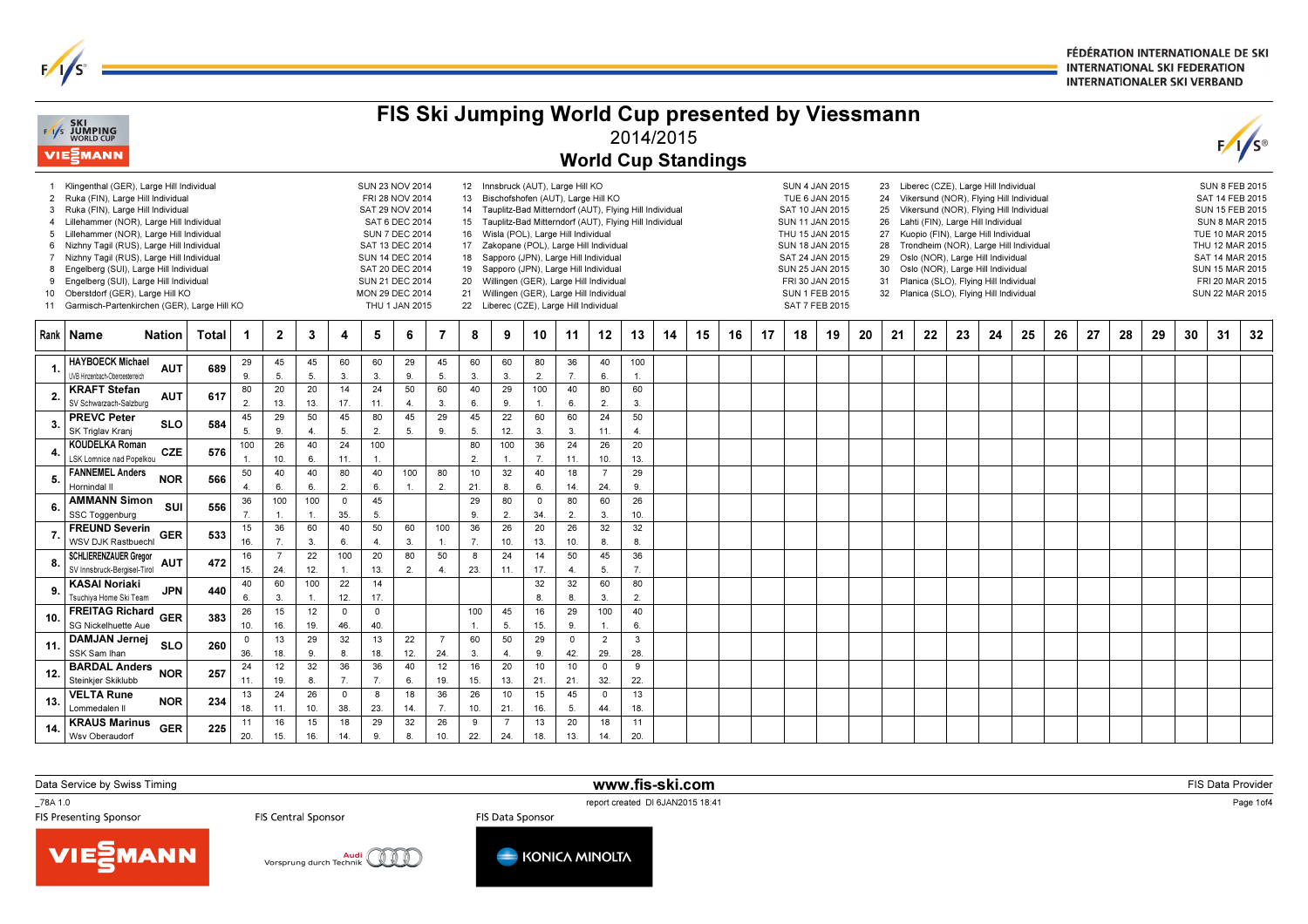FÉDÉRATION INTERNATIONALE DE SKI **INTERNATIONAL SKI FEDERATION INTERNATIONALER SKI VERBAND** 

|                                 | <b>EXI SKI</b><br>EXIS JUMPING<br>WORLD CUP<br><b>VIE</b> ZMANN                                                                                                                                                                                                                                                                                                                                                                                                                          |              |                      |                        |                      |                      |                                                                                                                                                                    |                                                           |                       |                                                                                                                                                                                                                                                                                                                                                                                                                                                                                                                                                            |                       |                        |                        | FIS Ski Jumping World Cup presented by Viessmann<br><b>World Cup Standings</b> | 2014/2015             |    |    |                                                                                                                                                                                                                                                                                                                                                                                                                                                                                                                                                                                                                                                                                                                    |    |    |    |    |    |    |    |    |    |    |    |    |    |                                                                                                                                                                                                               |    | $F/I/S^{\circ}$ |
|---------------------------------|------------------------------------------------------------------------------------------------------------------------------------------------------------------------------------------------------------------------------------------------------------------------------------------------------------------------------------------------------------------------------------------------------------------------------------------------------------------------------------------|--------------|----------------------|------------------------|----------------------|----------------------|--------------------------------------------------------------------------------------------------------------------------------------------------------------------|-----------------------------------------------------------|-----------------------|------------------------------------------------------------------------------------------------------------------------------------------------------------------------------------------------------------------------------------------------------------------------------------------------------------------------------------------------------------------------------------------------------------------------------------------------------------------------------------------------------------------------------------------------------------|-----------------------|------------------------|------------------------|--------------------------------------------------------------------------------|-----------------------|----|----|--------------------------------------------------------------------------------------------------------------------------------------------------------------------------------------------------------------------------------------------------------------------------------------------------------------------------------------------------------------------------------------------------------------------------------------------------------------------------------------------------------------------------------------------------------------------------------------------------------------------------------------------------------------------------------------------------------------------|----|----|----|----|----|----|----|----|----|----|----|----|----|---------------------------------------------------------------------------------------------------------------------------------------------------------------------------------------------------------------|----|-----------------|
| 4<br>5<br>$7^{\circ}$<br>8<br>9 | 1 Klingenthal (GER), Large Hill Individual<br>2 Ruka (FIN), Large Hill Individual<br>3 Ruka (FIN), Large Hill Individual<br>Lillehammer (NOR), Large Hill Individual<br>Lillehammer (NOR), Large Hill Individual<br>6 Nizhny Tagil (RUS), Large Hill Individual<br>Nizhny Tagil (RUS), Large Hill Individual<br>Engelberg (SUI), Large Hill Individual<br>Engelberg (SUI), Large Hill Individual<br>10 Oberstdorf (GER), Large Hill KO<br>11 Garmisch-Partenkirchen (GER), Large Hill KO |              |                      |                        |                      |                      | SUN 23 NOV 2014<br>FRI 28 NOV 2014<br>SAT 29 NOV 2014<br>SAT 13 DEC 2014<br><b>SUN 14 DEC 2014</b><br>SAT 20 DEC 2014<br>SUN 21 DEC 2014<br><b>MON 29 DEC 2014</b> | SAT 6 DEC 2014<br><b>SUN 7 DEC 2014</b><br>THU 1 JAN 2015 |                       | 12 Innsbruck (AUT), Large Hill KO<br>Bischofshofen (AUT), Large Hill KO<br>13<br>14 Tauplitz-Bad Mitterndorf (AUT), Flying Hill Individual<br>15 <sup>15</sup><br>Tauplitz-Bad Mitterndorf (AUT), Flying Hill Individual<br>Wisla (POL), Large Hill Individual<br>16<br>17<br>Zakopane (POL), Large Hill Individual<br>Sapporo (JPN), Large Hill Individual<br>18<br>Sapporo (JPN), Large Hill Individual<br>19<br>Willingen (GER), Large Hill Individual<br>20<br>Willingen (GER), Large Hill Individual<br>21<br>22 Liberec (CZE), Large Hill Individual |                       |                        |                        |                                                                                |                       |    |    | Liberec (CZE), Large Hill Individual<br><b>SUN 4 JAN 2015</b><br>23<br>TUE 6 JAN 2015<br>Vikersund (NOR), Flying Hill Individual<br>24<br>SAT 10 JAN 2015<br>Vikersund (NOR), Flying Hill Individual<br>25<br><b>SUN 11 JAN 2015</b><br>Lahti (FIN), Large Hill Individual<br>26<br>THU 15 JAN 2015<br>Kuopio (FIN), Large Hill Individual<br>27<br><b>SUN 18 JAN 2015</b><br>Trondheim (NOR), Large Hill Individual<br>28<br>SAT 24 JAN 2015<br>Oslo (NOR), Large Hill Individual<br>29<br>SUN 25 JAN 2015<br>30<br>Oslo (NOR), Large Hill Individual<br>FRI 30 JAN 2015<br>Planica (SLO), Flying Hill Individual<br>31<br><b>SUN 1 FEB 2015</b><br>32<br>Planica (SLO), Flying Hill Individual<br>SAT 7 FEB 2015 |    |    |    |    |    |    |    |    |    |    |    |    |    | <b>SUN 8 FEB 2015</b><br>SAT 14 FEB 2015<br><b>SUN 15 FEB 2015</b><br><b>SUN 8 MAR 2015</b><br>TUE 10 MAR 2015<br>THU 12 MAR 2015<br>SAT 14 MAR 2015<br>SUN 15 MAR 2015<br>FRI 20 MAR 2015<br>SUN 22 MAR 2015 |    |                 |
|                                 | Rank   Name<br><b>Nation</b>                                                                                                                                                                                                                                                                                                                                                                                                                                                             | <b>Total</b> | -1                   | $\mathbf{2}$           | $\mathbf{3}$         | 4                    | 5                                                                                                                                                                  | 6                                                         | 7                     | 8                                                                                                                                                                                                                                                                                                                                                                                                                                                                                                                                                          | 9                     | 10                     | 11                     | 12                                                                             | 13                    | 14 | 15 | 16                                                                                                                                                                                                                                                                                                                                                                                                                                                                                                                                                                                                                                                                                                                 | 17 | 18 | 19 | 20 | 21 | 22 | 23 | 24 | 25 | 26 | 27 | 28 | 29 | 30                                                                                                                                                                                                            | 31 | 32              |
|                                 | <b>HAYBOECK Michael</b><br><b>AUT</b><br>UVB Hinzenbach-Oberoesterreich                                                                                                                                                                                                                                                                                                                                                                                                                  | 689          | 29<br>9              | 45<br>5 <sub>0</sub>   | 45<br>5              | 60<br>3              | 60<br>3.                                                                                                                                                           | 29<br>9.                                                  | 45<br>5.              | 60<br>3.                                                                                                                                                                                                                                                                                                                                                                                                                                                                                                                                                   | 60<br>3.              | 80<br>2.               | 36<br>7.               | 40<br>6.                                                                       | 100<br>$\mathbf{1}$ . |    |    |                                                                                                                                                                                                                                                                                                                                                                                                                                                                                                                                                                                                                                                                                                                    |    |    |    |    |    |    |    |    |    |    |    |    |    |                                                                                                                                                                                                               |    |                 |
| $\overline{\mathbf{2}}$         | <b>KRAFT Stefan</b><br><b>AUT</b><br>SV Schwarzach-Salzburg                                                                                                                                                                                                                                                                                                                                                                                                                              | 617          | 80<br>$\overline{2}$ | 20<br>13.              | 20<br>13.            | 14<br>17.            | 24<br>11.                                                                                                                                                          | 50<br>4.                                                  | 60<br>3.              | 40<br>6.                                                                                                                                                                                                                                                                                                                                                                                                                                                                                                                                                   | 29<br>9.              | 100<br>$\mathbf{1}$    | 40<br>6.               | 80<br>$\overline{2}$                                                           | 60<br>3.              |    |    |                                                                                                                                                                                                                                                                                                                                                                                                                                                                                                                                                                                                                                                                                                                    |    |    |    |    |    |    |    |    |    |    |    |    |    |                                                                                                                                                                                                               |    |                 |
|                                 | <b>PREVC Peter</b><br><b>SLO</b><br>SK Triglav Krani                                                                                                                                                                                                                                                                                                                                                                                                                                     | 584          | 45<br>5.             | 29<br>9                | 50<br>$\overline{4}$ | 45<br>5.             | 80<br>$\overline{2}$                                                                                                                                               | 45<br>5.                                                  | 29<br>9.              | 45<br>5.                                                                                                                                                                                                                                                                                                                                                                                                                                                                                                                                                   | 22<br>12.             | 60<br>3.               | 60<br>3.               | 24<br>11.                                                                      | 50<br>$\overline{4}$  |    |    |                                                                                                                                                                                                                                                                                                                                                                                                                                                                                                                                                                                                                                                                                                                    |    |    |    |    |    |    |    |    |    |    |    |    |    |                                                                                                                                                                                                               |    |                 |
|                                 | <b>KOUDELKA Roman</b><br>CZE<br>LSK Lomnice nad Popelkou                                                                                                                                                                                                                                                                                                                                                                                                                                 | 576          | 100<br>$\mathbf{1}$  | 26<br>10.              | 40<br>6.             | 24<br>11.            | 100<br>$\mathbf{1}$                                                                                                                                                |                                                           |                       | 80<br>2.                                                                                                                                                                                                                                                                                                                                                                                                                                                                                                                                                   | 100<br>$\mathbf{1}$   | 36<br>$\overline{7}$ . | 24<br>11.              | 26<br>10.                                                                      | 20<br>13.             |    |    |                                                                                                                                                                                                                                                                                                                                                                                                                                                                                                                                                                                                                                                                                                                    |    |    |    |    |    |    |    |    |    |    |    |    |    |                                                                                                                                                                                                               |    |                 |
|                                 | <b>FANNEMEL Anders</b><br><b>NOR</b><br>Hornindal II                                                                                                                                                                                                                                                                                                                                                                                                                                     | 566          | 50<br>$\overline{4}$ | 40<br>6.               | 40<br>6.             | 80<br>2.             | 40<br>6.                                                                                                                                                           | 100                                                       | 80<br>2.              | 10<br>21.                                                                                                                                                                                                                                                                                                                                                                                                                                                                                                                                                  | 32<br>8.              | 40<br>6.               | 18<br>14.              | $\overline{7}$<br>24.                                                          | 29<br>9.              |    |    |                                                                                                                                                                                                                                                                                                                                                                                                                                                                                                                                                                                                                                                                                                                    |    |    |    |    |    |    |    |    |    |    |    |    |    |                                                                                                                                                                                                               |    |                 |
| 6                               | <b>AMMANN Simon</b><br>SUI<br>SSC Toggenburg                                                                                                                                                                                                                                                                                                                                                                                                                                             | 556          | 36<br>$\overline{7}$ | 100<br>$\overline{1}$  | 100                  | $\mathsf 0$<br>35.   | 45<br>5.                                                                                                                                                           |                                                           |                       | 29<br>9.                                                                                                                                                                                                                                                                                                                                                                                                                                                                                                                                                   | 80<br>$\overline{2}$  | $\mathbf 0$<br>34.     | 80<br>2.               | 60<br>$\overline{3}$                                                           | 26<br>10.             |    |    |                                                                                                                                                                                                                                                                                                                                                                                                                                                                                                                                                                                                                                                                                                                    |    |    |    |    |    |    |    |    |    |    |    |    |    |                                                                                                                                                                                                               |    |                 |
|                                 | <b>FREUND Severin</b><br><b>GER</b><br>WSV DJK Rastbuechl                                                                                                                                                                                                                                                                                                                                                                                                                                | 533          | 15<br>16.            | 36<br>$\overline{7}$ . | 60<br>3.             | 40<br>6.             | 50<br>$\overline{4}$                                                                                                                                               | 60<br>3.                                                  | 100<br>$\mathbf{1}$   | 36<br>$\overline{7}$ .                                                                                                                                                                                                                                                                                                                                                                                                                                                                                                                                     | 26<br>10.             | 20<br>13.              | 26<br>10.              | 32<br>8.                                                                       | 32<br>8.              |    |    |                                                                                                                                                                                                                                                                                                                                                                                                                                                                                                                                                                                                                                                                                                                    |    |    |    |    |    |    |    |    |    |    |    |    |    |                                                                                                                                                                                                               |    |                 |
| 8                               | <b>SCHLIERENZAUER Gregor</b><br><b>AUT</b><br>SV Innsbruck-Bergisel-Tirol                                                                                                                                                                                                                                                                                                                                                                                                                | 472          | 16<br>15.            | $\overline{7}$<br>24.  | 22<br>12.            | 100                  | 20<br>13.                                                                                                                                                          | 80<br>2.                                                  | 50<br>$\overline{4}$  | 8<br>23.                                                                                                                                                                                                                                                                                                                                                                                                                                                                                                                                                   | 24<br>11.             | 14<br>17.              | 50<br>$\overline{4}$ . | 45<br>5.                                                                       | 36<br>7.              |    |    |                                                                                                                                                                                                                                                                                                                                                                                                                                                                                                                                                                                                                                                                                                                    |    |    |    |    |    |    |    |    |    |    |    |    |    |                                                                                                                                                                                                               |    |                 |
|                                 | <b>KASAI Noriaki</b><br><b>JPN</b><br>Tsuchiya Home Ski Team                                                                                                                                                                                                                                                                                                                                                                                                                             | 440          | 40<br>6              | 60<br>$\mathbf{3}$     | 100                  | 22<br>12.            | 14<br>17.                                                                                                                                                          |                                                           |                       |                                                                                                                                                                                                                                                                                                                                                                                                                                                                                                                                                            |                       | 32<br>8                | 32<br>8                | 60<br>3.                                                                       | 80<br>2.              |    |    |                                                                                                                                                                                                                                                                                                                                                                                                                                                                                                                                                                                                                                                                                                                    |    |    |    |    |    |    |    |    |    |    |    |    |    |                                                                                                                                                                                                               |    |                 |
| 10.                             | <b>FREITAG Richard</b><br><b>GER</b><br>SG Nickelhuette Aue                                                                                                                                                                                                                                                                                                                                                                                                                              | 383          | 26<br>10.            | 15<br>16.              | 12<br>19.            | $\mathsf 0$<br>46.   | 0<br>40                                                                                                                                                            |                                                           |                       | 100                                                                                                                                                                                                                                                                                                                                                                                                                                                                                                                                                        | 45<br>5.              | 16<br>15.              | 29<br>9.               | 100<br>$\overline{1}$                                                          | 40<br>6.              |    |    |                                                                                                                                                                                                                                                                                                                                                                                                                                                                                                                                                                                                                                                                                                                    |    |    |    |    |    |    |    |    |    |    |    |    |    |                                                                                                                                                                                                               |    |                 |
| 11                              | <b>DAMJAN Jernej</b><br><b>SLO</b><br>SSK Sam Ihan                                                                                                                                                                                                                                                                                                                                                                                                                                       | 260          | 0<br>36.             | 13<br>18.              | 29<br>9              | 32<br>8              | 13<br>18.                                                                                                                                                          | 22<br>12.                                                 | $\overline{7}$<br>24. | 60<br>3.                                                                                                                                                                                                                                                                                                                                                                                                                                                                                                                                                   | 50<br>$\overline{4}$  | 29<br>9.               | $\mathsf 0$<br>42.     | $\overline{2}$<br>29.                                                          | 3<br>28.              |    |    |                                                                                                                                                                                                                                                                                                                                                                                                                                                                                                                                                                                                                                                                                                                    |    |    |    |    |    |    |    |    |    |    |    |    |    |                                                                                                                                                                                                               |    |                 |
| 12.                             | <b>BARDAL Anders</b><br><b>NOR</b><br>Steinkjer Skiklubb                                                                                                                                                                                                                                                                                                                                                                                                                                 | 257          | 24<br>11.            | 12<br>19.              | 32<br>8.             | 36<br>$\overline{7}$ | 36<br>$\overline{7}$                                                                                                                                               | 40<br>6.                                                  | 12<br>19.             | 16<br>15.                                                                                                                                                                                                                                                                                                                                                                                                                                                                                                                                                  | 20<br>13.             | 10<br>21.              | 10<br>21.              | $\mathsf 0$<br>32.                                                             | 9<br>22.              |    |    |                                                                                                                                                                                                                                                                                                                                                                                                                                                                                                                                                                                                                                                                                                                    |    |    |    |    |    |    |    |    |    |    |    |    |    |                                                                                                                                                                                                               |    |                 |
| 13.                             | <b>VELTA Rune</b><br><b>NOR</b><br>Lommedalen II                                                                                                                                                                                                                                                                                                                                                                                                                                         | 234          | 13<br>18.            | 24<br>11.              | 26<br>10.            | $\mathsf 0$<br>38.   | 8<br>23.                                                                                                                                                           | 18<br>14.                                                 | 36<br>7.              | 26<br>10.                                                                                                                                                                                                                                                                                                                                                                                                                                                                                                                                                  | 10<br>21.             | 15<br>16.              | 45<br>5.               | $\mathsf 0$<br>44.                                                             | 13<br>18.             |    |    |                                                                                                                                                                                                                                                                                                                                                                                                                                                                                                                                                                                                                                                                                                                    |    |    |    |    |    |    |    |    |    |    |    |    |    |                                                                                                                                                                                                               |    |                 |
| 14.                             | <b>KRAUS Marinus</b><br><b>GER</b><br>Wsv Oberaudorf                                                                                                                                                                                                                                                                                                                                                                                                                                     | 225          | 11<br>20.            | 16<br>15.              | 15<br>16.            | 18<br>14.            | 29<br>9.                                                                                                                                                           | 32<br>8.                                                  | 26<br>10.             | 9<br>22.                                                                                                                                                                                                                                                                                                                                                                                                                                                                                                                                                   | $\overline{7}$<br>24. | 13<br>18.              | 20<br>13.              | 18<br>14.                                                                      | 11<br>20.             |    |    |                                                                                                                                                                                                                                                                                                                                                                                                                                                                                                                                                                                                                                                                                                                    |    |    |    |    |    |    |    |    |    |    |    |    |    |                                                                                                                                                                                                               |    |                 |

www.fis-ski.com

Data Service by Swiss Timing

 $\frac{1}{s}$ 

\_78A 1.0

report created DI 6JAN2015 18:41<br>FIS Data Sponsor **FIS Data Sponsor** 







FIS Data Provider

Page 1of4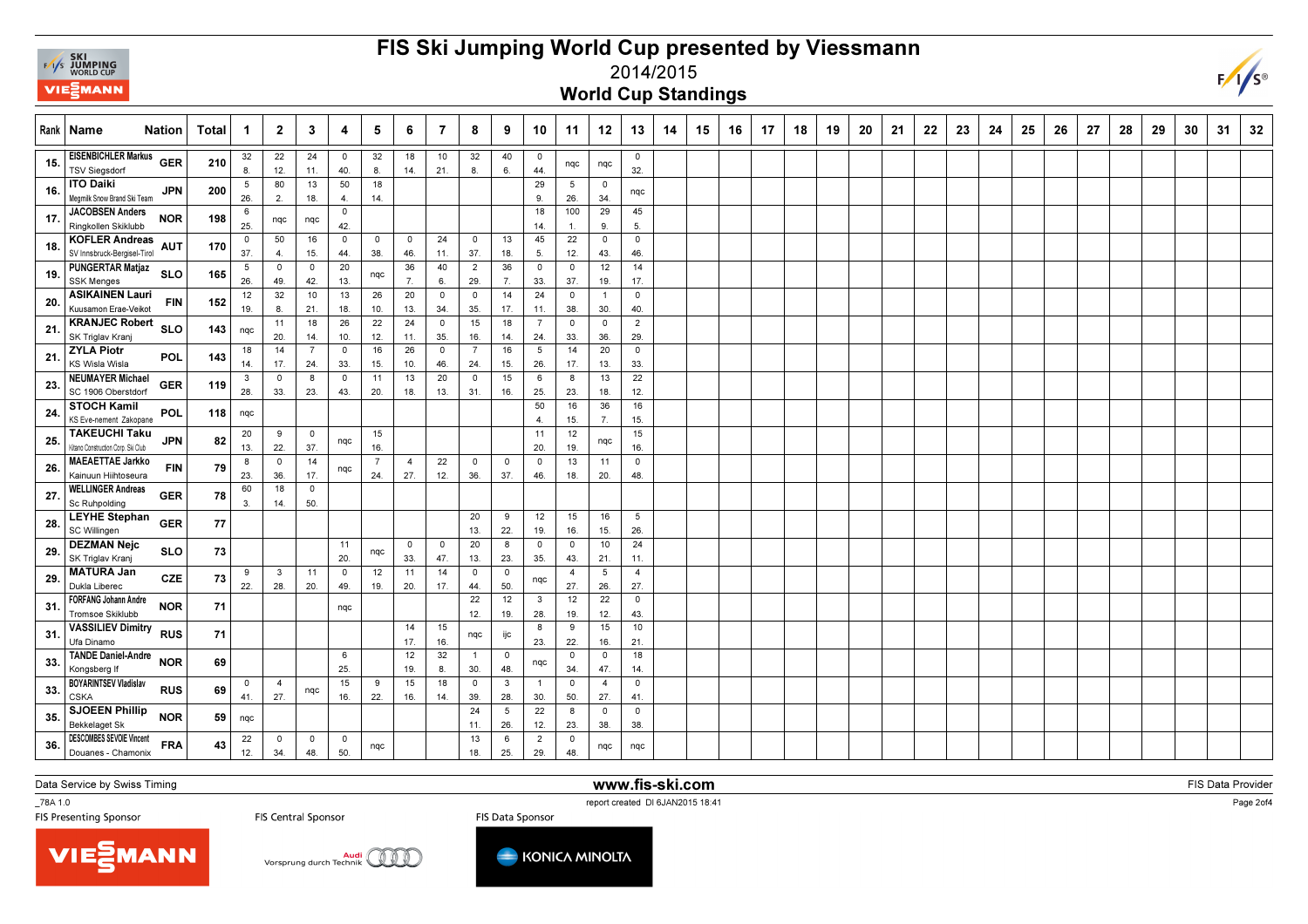

## FIS Ski Jumping World Cup presented by Viessmann



World Cup Standings

|     | Rank   Name<br><b>Nation</b>                               |            | Total | $\mathbf 1$            | $\overline{2}$     | $\mathbf{3}$          | 4                              | 5                     | 6                              | $\overline{7}$     | 8                     | 9                   | 10                    | 11                    | 12                    | 13                    | 14 | 15 | 16 | 17 | 18 | 19 | 20 | 21 | 22 | 23 | 24 | 25 | 26 | 27 | 28 | 29 | 30 | 31 | 32 |
|-----|------------------------------------------------------------|------------|-------|------------------------|--------------------|-----------------------|--------------------------------|-----------------------|--------------------------------|--------------------|-----------------------|---------------------|-----------------------|-----------------------|-----------------------|-----------------------|----|----|----|----|----|----|----|----|----|----|----|----|----|----|----|----|----|----|----|
| 15. | <b>EISENBICHLER Markus</b><br><b>TSV Siegsdorf</b>         | <b>GER</b> | 210   | 32<br>8                | 22<br>12.          | 24<br>11.             | $\mathbf 0$<br>40.             | 32<br>8.              | 18<br>14.                      | 10<br>21.          | 32<br>8.              | 40<br>6.            | $\overline{0}$<br>44. | nqc                   | nqc                   | $\mathbf 0$<br>32.    |    |    |    |    |    |    |    |    |    |    |    |    |    |    |    |    |    |    |    |
| 16. | <b>ITO Daiki</b><br>Megmilk Snow Brand Ski Team            | <b>JPN</b> | 200   | 5<br>26.               | 80<br>2.           | 13<br>18.             | 50<br>4.                       | 18<br>14.             |                                |                    |                       |                     | 29<br>9.              | 5<br>26.              | $^{\circ}$<br>34.     | nqc                   |    |    |    |    |    |    |    |    |    |    |    |    |    |    |    |    |    |    |    |
| 17. | <b>JACOBSEN Anders</b><br>Ringkollen Skiklubb              | <b>NOR</b> | 198   | 6<br>25.               | nqc                | nqc                   | $\mathbf 0$<br>42.             |                       |                                |                    |                       |                     | 18<br>14.             | 100<br>$\mathbf{1}$   | 29<br>9.              | 45<br>5.              |    |    |    |    |    |    |    |    |    |    |    |    |    |    |    |    |    |    |    |
| 18. | <b>KOFLER Andreas</b><br>SV Innsbruck-Bergisel-Tirol       | <b>AUT</b> | 170   | 0<br>37.               | 50<br>$\mathbf{4}$ | 16<br>15.             | $\overline{0}$<br>44.          | $\overline{0}$<br>38. | $\overline{\mathbf{0}}$<br>46. | 24<br>11.          | $\overline{0}$<br>37. | 13<br>18.           | 45<br>5.              | 22<br>12.             | $\overline{0}$<br>43. | $\mathbf 0$<br>46.    |    |    |    |    |    |    |    |    |    |    |    |    |    |    |    |    |    |    |    |
| 19  | <b>PUNGERTAR Matjaz</b><br><b>SSK Menges</b>               | <b>SLO</b> | 165   | $5\overline{)}$<br>26. | $\circ$<br>49.     | $\overline{0}$<br>42. | 20<br>13.                      | nqc                   | 36<br>7.                       | 40<br>6.           | $\overline{2}$<br>29. | 36<br>7.            | $\overline{0}$<br>33. | $\overline{0}$<br>37. | 12<br>19.             | 14<br>17.             |    |    |    |    |    |    |    |    |    |    |    |    |    |    |    |    |    |    |    |
| 20. | <b>ASIKAINEN Lauri</b><br>Kuusamon Erae-Veikot             | <b>FIN</b> | 152   | 12<br>19.              | 32<br>8            | 10<br>21.             | 13<br>18.                      | 26<br>10.             | 20<br>13.                      | $\circ$<br>34.     | $\overline{0}$<br>35. | 14<br>17.           | 24<br>11.             | $\mathbf 0$<br>38.    | $\overline{1}$<br>30. | $\mathbf 0$<br>40.    |    |    |    |    |    |    |    |    |    |    |    |    |    |    |    |    |    |    |    |
| 21  | <b>KRANJEC Robert</b><br>SK Triglav Kranj                  | <b>SLO</b> |       | $143$ nqc              | 11<br>20.          | 18<br>14.             | 26<br>10.                      | 22<br>12.             | 24<br>11.                      | $\mathbf 0$<br>35. | 15<br>16.             | 18<br>14.           | $\overline{7}$<br>24. | $\mathbf 0$<br>33.    | $\mathsf 0$<br>36.    | $\overline{2}$<br>29. |    |    |    |    |    |    |    |    |    |    |    |    |    |    |    |    |    |    |    |
| 21  | <b>ZYLA Piotr</b><br><b>KS Wisla Wisla</b>                 | POL        | 143   | 18<br>14.              | 14<br>17.          | $\overline{7}$<br>24. | $\mathbf 0$<br>33.             | 16<br>15.             | 26<br>10.                      | $\mathbf 0$<br>46. | $\overline{7}$<br>24. | 16<br>15.           | 5<br>26.              | 14<br>17.             | 20<br>13.             | $\mathbf 0$<br>33.    |    |    |    |    |    |    |    |    |    |    |    |    |    |    |    |    |    |    |    |
| 23. | <b>NEUMAYER Michael</b><br>SC 1906 Oberstdorf              | <b>GER</b> | 119   | $\mathbf{3}$           | $\mathbf 0$        | 8                     | $\overline{0}$                 | 11                    | 13                             | 20                 | $\overline{0}$        | 15                  | 6                     | 8                     | 13                    | 22                    |    |    |    |    |    |    |    |    |    |    |    |    |    |    |    |    |    |    |    |
| 24  | <b>STOCH Kamil</b><br>KS Eve-nement Zakopane               | POL        | 118   | 28.<br>nqc             | 33.                | 23.                   | 43.                            | 20.                   | 18.                            | 13.                | 31.                   | 16.                 | 25.<br>50             | 23.<br>16             | 18.<br>36             | 12.<br>16             |    |    |    |    |    |    |    |    |    |    |    |    |    |    |    |    |    |    |    |
| 25. | <b>TAKEUCHI Taku</b><br>Kitano Construction Corp. Ski Club | <b>JPN</b> | 82    | 20                     | 9                  | $\overline{0}$        | nqc                            | 15                    |                                |                    |                       |                     | -4.<br>11             | 15.<br>12             | 7.<br>nqc             | 15.<br>15             |    |    |    |    |    |    |    |    |    |    |    |    |    |    |    |    |    |    |    |
| 26. | <b>MAEAETTAE Jarkko</b>                                    | <b>FIN</b> | 79    | 13.<br>8               | 22.<br>$\mathbf 0$ | 37.<br>14             | nqc                            | 16.<br>7              | $\overline{4}$                 | 22                 | $\overline{0}$        | $\mathbf 0$         | 20.<br>$\mathbf{0}$   | 19.<br>13             | 11                    | 16.<br>$\mathbf 0$    |    |    |    |    |    |    |    |    |    |    |    |    |    |    |    |    |    |    |    |
| 27  | Kainuun Hiihtoseura<br><b>WELLINGER Andreas</b>            | <b>GER</b> | 78    | 23.<br>60              | 36.<br>18          | 17.<br>$\overline{0}$ |                                | 24.                   | 27.                            | 12.                | 36.                   | 37.                 | 46.                   | 18.                   | 20.                   | 48.                   |    |    |    |    |    |    |    |    |    |    |    |    |    |    |    |    |    |    |    |
| 28. | Sc Ruhpolding<br><b>LEYHE Stephan</b>                      | <b>GER</b> | 77    | 3.                     | 14.                | 50.                   |                                |                       |                                |                    | 20                    | 9                   | 12                    | 15                    | 16                    | 5                     |    |    |    |    |    |    |    |    |    |    |    |    |    |    |    |    |    |    |    |
| 29. | SC Willingen<br><b>DEZMAN Nejc</b>                         | <b>SLO</b> | 73    |                        |                    |                       | 11                             | nqc                   | $\circ$                        | $^{\circ}$         | 13.<br>20             | 22.<br>8            | 19.<br>$\overline{0}$ | 16.<br>$\mathbf 0$    | 15.<br>10             | 26.<br>24             |    |    |    |    |    |    |    |    |    |    |    |    |    |    |    |    |    |    |    |
| 29. | SK Triglav Kranj<br><b>MATURA Jan</b>                      | <b>CZE</b> | 73    | 9                      | 3                  | 11                    | 20.<br>$\overline{\mathbf{0}}$ | 12                    | 33.<br>11                      | 47.<br>14          | 13.<br>$\overline{0}$ | 23.<br>$\circ$      | 35.<br>nqc            | 43.<br>$\overline{4}$ | 21.<br>5              | 11.<br>$\overline{4}$ |    |    |    |    |    |    |    |    |    |    |    |    |    |    |    |    |    |    |    |
| 31  | Dukla Liberec<br><b>FORFANG Johann Andre</b>               | <b>NOR</b> | 71    | 22.                    | 28.                | 20.                   | 49.<br>nqc                     | 19.                   | 20.                            | 17.                | 44.<br>22             | 50.<br>12           | $\mathbf{3}$          | 27.<br>12             | 26.<br>22             | 27.<br>$\mathbf 0$    |    |    |    |    |    |    |    |    |    |    |    |    |    |    |    |    |    |    |    |
| 31  | Tromsoe Skiklubb<br><b>VASSILIEV Dimitry RUS</b>           |            | 71    |                        |                    |                       |                                |                       | 14                             | 15                 | 12.<br>nqc            | 19.<br>ijc          | 28.<br>8              | 19.<br>9              | 12.<br>15             | 43.<br>10             |    |    |    |    |    |    |    |    |    |    |    |    |    |    |    |    |    |    |    |
| 33. | Ufa Dinamo<br><b>TANDE Daniel-Andre</b>                    | <b>NOR</b> | 69    |                        |                    |                       | 6                              |                       | 17.<br>12                      | 16.<br>32          | $\overline{1}$        | $\mathbf 0$         | 23.<br>nqc            | 22.<br>$\mathbf 0$    | 16.<br>$\overline{0}$ | 21.<br>18             |    |    |    |    |    |    |    |    |    |    |    |    |    |    |    |    |    |    |    |
| 33. | Kongsberg If<br><b>BOYARINTSEV Vladislav</b>               | <b>RUS</b> | 69    | 0                      | $\overline{4}$     | nqc                   | 25.<br>15                      | 9                     | 19.<br>15                      | 8.<br>18           | 30.<br>$\overline{0}$ | 48.<br>$\mathbf{3}$ | $\overline{1}$        | 34.<br>$\mathbf 0$    | 47.<br>$\overline{4}$ | 14.<br>$\mathbf 0$    |    |    |    |    |    |    |    |    |    |    |    |    |    |    |    |    |    |    |    |
| 35. | <b>CSKA</b><br><b>SJOEEN Phillip</b>                       | <b>NOR</b> | 59    | 41.<br>nqc             | 27.                |                       | 16.                            | 22.                   | 16.                            | 14.                | 39.<br>24             | 28.<br>5            | 30.<br>22             | 50.<br>8              | 27.<br>$\overline{0}$ | 41.<br>$\mathbf 0$    |    |    |    |    |    |    |    |    |    |    |    |    |    |    |    |    |    |    |    |
| 36. | <b>Bekkelaget Sk</b><br><b>DESCOMBES SEVOIE Vincent</b>    | <b>FRA</b> | 43    | 22                     | $^{\circ}$         | $\mathbf 0$           | $\overline{0}$                 |                       |                                |                    | 11.<br>13             | 26.<br>6            | 12.<br>$\overline{2}$ | 23.<br>$\overline{0}$ | 38.                   | 38.                   |    |    |    |    |    |    |    |    |    |    |    |    |    |    |    |    |    |    |    |
|     | Douanes - Chamonix                                         |            |       | 12.                    | 34.                | 48.                   | 50.                            | nqc                   |                                |                    | 18.                   | 25.                 | 29.                   | 48.                   | nqc                   | nqc                   |    |    |    |    |    |    |    |    |    |    |    |    |    |    |    |    |    |    |    |

www.fis-ski.com

Data Service by Swiss Timing

VIEZMANN

\_78A 1.0

report created DI 6JAN2015 18:41<br>FIS Presenting Sponsor FIS Central Sponsor FIS Data Sponsor FIS Data Sponsor





FIS Data Provider

 $F/I/S^{\circledcirc}$ 

Page 2of4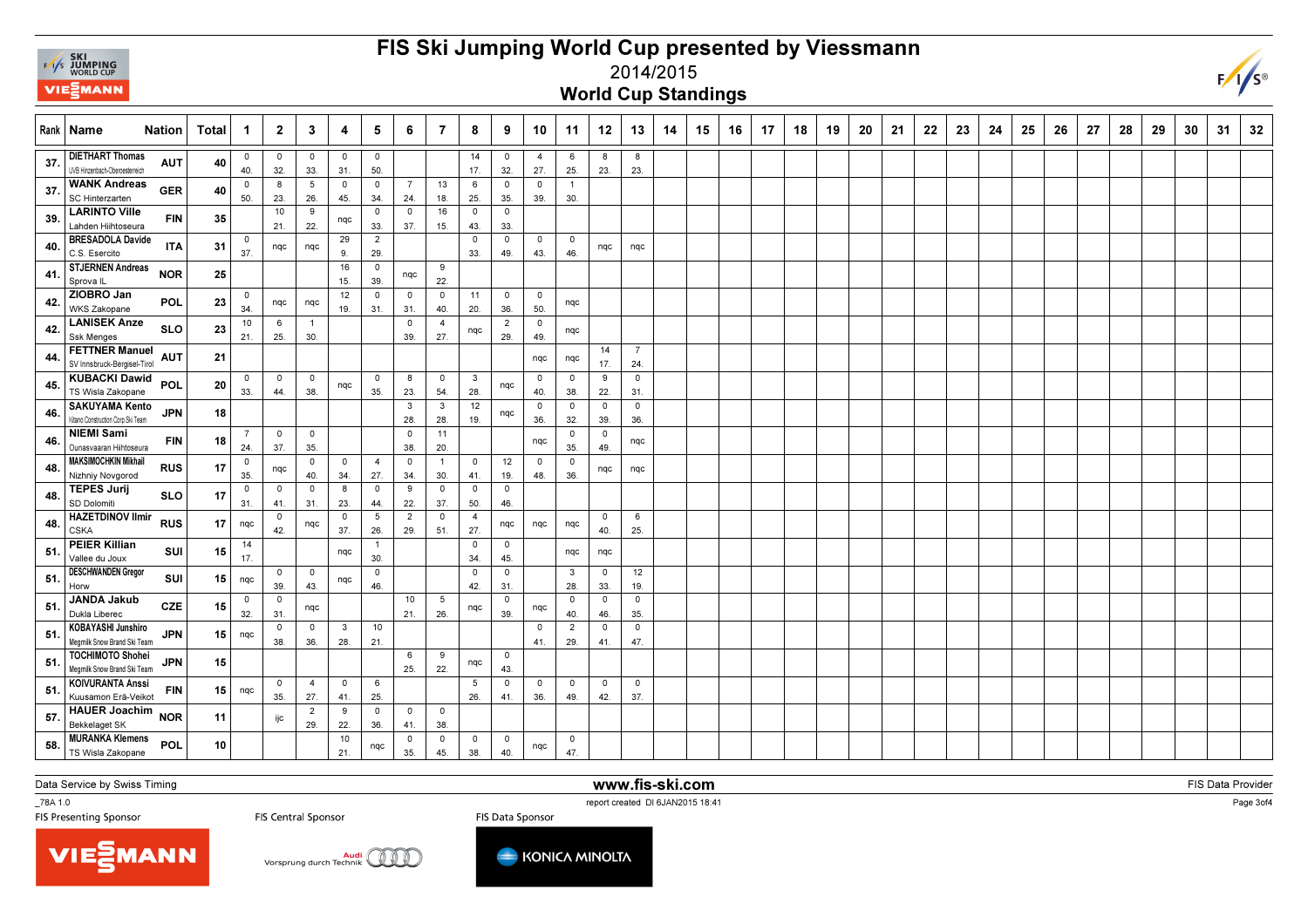

## FIS Ski Jumping World Cup presented by Viessmann



2014/2015

World Cup Standings

|      | Rank   Name                                                 | Nation     | Total           | -1                 | $\overline{2}$                 | 3                     | 4                     | 5                     | 6                     | $\overline{7}$        | 8                              | 9                     | 10                             | 11                    | 12                 | 13                    | 14 | 15 | 16 | 17 | 18 | 19 | 20 | 21 | 22 | 23 | 24 | 25 | 26 | 27 | 28 | 29 | 30 | 31 | 32 |
|------|-------------------------------------------------------------|------------|-----------------|--------------------|--------------------------------|-----------------------|-----------------------|-----------------------|-----------------------|-----------------------|--------------------------------|-----------------------|--------------------------------|-----------------------|--------------------|-----------------------|----|----|----|----|----|----|----|----|----|----|----|----|----|----|----|----|----|----|----|
| 37   | <b>DIETHART Thomas</b><br>UVB Hinzenbach-Oberoesterreich    | <b>AUT</b> | 40              | $\circ$<br>40.     | $\circ$<br>32.                 | $\circ$<br>33.        | $\mathbf 0$<br>31.    | $\circ$<br>50.        |                       |                       | 14<br>17.                      | $\circ$<br>32.        | $\overline{4}$<br>27.          | 6<br>25.              | 8<br>23.           | 8<br>23.              |    |    |    |    |    |    |    |    |    |    |    |    |    |    |    |    |    |    |    |
| 37   | <b>WANK Andreas</b><br><b>SC Hinterzarten</b>               | <b>GER</b> | 40              | $\mathbf 0$<br>50. | 8<br>23.                       | 5<br>26.              | $\mathbf 0$<br>45.    | $\mathbf 0$<br>34.    | $\overline{7}$<br>24. | 13<br>18.             | 6<br>25.                       | $\circ$<br>35.        | $\mathbf 0$<br>39.             | $\mathbf{1}$<br>30.   |                    |                       |    |    |    |    |    |    |    |    |    |    |    |    |    |    |    |    |    |    |    |
| 39.  | <b>LARINTO Ville</b><br>Lahden Hiihtoseura                  | <b>FIN</b> | 35              |                    | 10<br>21.                      | 9<br>22.              | nqc                   | 0<br>33.              | $\mathbf 0$<br>37.    | 16<br>15.             | $\overline{\mathbf{0}}$<br>43. | $\circ$<br>33.        |                                |                       |                    |                       |    |    |    |    |    |    |    |    |    |    |    |    |    |    |    |    |    |    |    |
| 40   | <b>BRESADOLA Davide</b><br>C.S. Esercito                    | <b>ITA</b> | 31              | $\mathbf 0$<br>37. | ngc                            | nqc                   | 29<br>9.              | $\overline{2}$<br>29. |                       |                       | $\mathbf 0$<br>33.             | $\circ$<br>49.        | $\circ$<br>43.                 | $\mathbf 0$<br>46.    | nqc                | nqc                   |    |    |    |    |    |    |    |    |    |    |    |    |    |    |    |    |    |    |    |
| 41.  | <b>STJERNEN Andreas</b><br>Sprova <sub>IL</sub>             | <b>NOR</b> | 25              |                    |                                |                       | 16<br>15.             | 0<br>39.              | nqc                   | 9<br>22.              |                                |                       |                                |                       |                    |                       |    |    |    |    |    |    |    |    |    |    |    |    |    |    |    |    |    |    |    |
| 42.  | ZIOBRO Jan<br><b>WKS Zakopane</b>                           | <b>POL</b> | 23              | $\mathbf 0$<br>34. | nqc                            | nqc                   | 12<br>19.             | $\mathbf 0$<br>31.    | $\mathbf 0$<br>31.    | $\overline{0}$<br>40. | 11<br>20.                      | $\circ$<br>36.        | $\overline{0}$<br>50.          | nqc                   |                    |                       |    |    |    |    |    |    |    |    |    |    |    |    |    |    |    |    |    |    |    |
| 42.  | <b>LANISEK Anze</b><br><b>Ssk Menges</b>                    | <b>SLO</b> | 23              | 10<br>21.          | 6<br>25.                       | $\overline{1}$<br>30. |                       |                       | $\overline{0}$<br>39. | $\overline{4}$<br>27. | nqc                            | $\overline{2}$<br>29. | $\overline{0}$<br>49.          | nqc                   |                    |                       |    |    |    |    |    |    |    |    |    |    |    |    |    |    |    |    |    |    |    |
| 44.  | <b>FETTNER Manuel</b><br>SV Innsbruck-Bergisel-Tirol        | <b>AUT</b> | 21              |                    |                                |                       |                       |                       |                       |                       |                                |                       | nqc                            | nqc                   | 14<br>17.          | $\overline{7}$<br>24. |    |    |    |    |    |    |    |    |    |    |    |    |    |    |    |    |    |    |    |
| 45.  | <b>KUBACKI Dawid</b><br>TS Wisla Zakopane                   | <b>POL</b> | 20              | 0<br>33.           | $\mathbf 0$<br>44.             | $\circ$<br>38.        | nqc                   | $\mathbf 0$<br>35.    | 8<br>23.              | $\overline{0}$<br>54. | $\mathbf{3}$<br>28.            | nqc                   | $\circ$<br>40.                 | 0<br>38.              | 9<br>22.           | $\mathsf{o}$<br>31.   |    |    |    |    |    |    |    |    |    |    |    |    |    |    |    |    |    |    |    |
| 46.  | <b>SAKUYAMA Kento</b><br>Kitano Construction Corp. Ski Team | <b>JPN</b> | 18              |                    |                                |                       |                       |                       | 3<br>28.              | $\mathbf{3}$<br>28.   | 12<br>19.                      | nqc                   | $\circ$<br>36.                 | $\mathbf 0$<br>32.    | $\circ$<br>39.     | $\mathbf 0$<br>36.    |    |    |    |    |    |    |    |    |    |    |    |    |    |    |    |    |    |    |    |
| 46.  | <b>NIEMI Sami</b><br>Ounasvaaran Hiihtoseura                | FIN        | 18              | -7<br>24.          | $\overline{\mathbf{0}}$<br>37. | $\circ$<br>35.        |                       |                       | $\mathbf 0$<br>38.    | 11<br>20.             |                                |                       | nqc                            | 0<br>35.              | $\circ$<br>49.     | nqc                   |    |    |    |    |    |    |    |    |    |    |    |    |    |    |    |    |    |    |    |
| 48.  | <b>MAKSIMOCHKIN Mikhail</b><br>Nizhniy Novgorod             | <b>RUS</b> | 17              | $\mathbf 0$<br>35. | nqc                            | $^{\circ}$<br>40.     | $\overline{0}$<br>34. | $\overline{4}$<br>27. | $\overline{0}$<br>34. | $\overline{1}$<br>30. | $\mathbf 0$<br>41.             | 12<br>19.             | $\overline{\mathbf{0}}$<br>48. | $\overline{0}$<br>36. | nqc                | nqc                   |    |    |    |    |    |    |    |    |    |    |    |    |    |    |    |    |    |    |    |
| 48.  | <b>TEPES Jurij</b><br>SD Dolomiti                           | <b>SLO</b> | 17              | $\mathbf 0$<br>31. | $\mathbf 0$<br>41.             | $\circ$<br>31.        | 8<br>23.              | $\circ$<br>44.        | 9<br>22.              | $\overline{0}$<br>37. | $\overline{0}$<br>50.          | $\mathbf 0$<br>46.    |                                |                       |                    |                       |    |    |    |    |    |    |    |    |    |    |    |    |    |    |    |    |    |    |    |
| 48   | <b>HAZETDINOV Ilmir</b><br><b>CSKA</b>                      | <b>RUS</b> | 17              | nqc                | $\mathbf 0$<br>42.             | nqc                   | $\circ$<br>37.        | 5<br>26.              | $\overline{2}$<br>29. | $\overline{0}$<br>51. | $\overline{4}$<br>27.          | nqc                   | nqc                            | nqc                   | 0<br>40.           | 6<br>25.              |    |    |    |    |    |    |    |    |    |    |    |    |    |    |    |    |    |    |    |
| 51.  | <b>PEIER Killian</b><br>Vallee du Joux                      | SUI        | 15              | 14<br>17.          |                                |                       | nqc                   | $\mathbf{1}$<br>30.   |                       |                       | $\overline{0}$<br>34.          | $\circ$<br>45.        |                                | nqc                   | nqc                |                       |    |    |    |    |    |    |    |    |    |    |    |    |    |    |    |    |    |    |    |
| 51   | <b>DESCHWANDEN Gregor</b><br>Horw                           | SUI        | 15              | nqc                | $^{\circ}$<br>39.              | $\circ$<br>43.        | nqc                   | $\mathbf 0$<br>46.    |                       |                       | $\overline{0}$<br>42.          | $\circ$<br>31.        |                                | $\mathbf{3}$<br>28.   | $\mathbf 0$<br>33. | 12<br>19.             |    |    |    |    |    |    |    |    |    |    |    |    |    |    |    |    |    |    |    |
| -51. | JANDA Jakub<br>Dukla Liberec                                | <b>CZE</b> | 15              | $\mathbf 0$<br>32. | $\overline{\mathbf{0}}$<br>31  | nqc                   |                       |                       | 10<br>21.             | 5<br>26.              | nqc                            | $\mathbf 0$<br>39.    | nqc                            | $\mathbf 0$<br>40.    | $\mathbf 0$<br>46. | $\mathbf 0$<br>35.    |    |    |    |    |    |    |    |    |    |    |    |    |    |    |    |    |    |    |    |
| -51. | <b>KOBAYASHI Junshiro</b><br>Megmilk Snow Brand Ski Team    | <b>JPN</b> | 15 I            | nqc                | $\mathbf 0$<br>38.             | $^{\circ}$<br>36.     | 3<br>28.              | 10<br>21.             |                       |                       |                                |                       | $\overline{\mathbf{0}}$<br>41. | $\overline{2}$<br>29. | $\circ$<br>41.     | $\mathsf{O}$<br>47.   |    |    |    |    |    |    |    |    |    |    |    |    |    |    |    |    |    |    |    |
| 51.  | <b>TOCHIMOTO Shohei</b><br>Megmilk Snow Brand Ski Team      | <b>JPN</b> | 15 <sup>1</sup> |                    |                                |                       |                       |                       | 6<br>25.              | 9<br>22.              | nqc                            | $\circ$<br>43.        |                                |                       |                    |                       |    |    |    |    |    |    |    |    |    |    |    |    |    |    |    |    |    |    |    |
| 51.  | <b>KOIVURANTA Anssi</b><br>Kuusamon Erä-Veikot              | <b>FIN</b> | 15 <sup>1</sup> | nqc                | $\mathbf 0$<br>35.             | 4<br>27.              | $\mathbf 0$<br>41.    | 6<br>25.              |                       |                       | 5<br>26.                       | $\mathbf 0$<br>41.    | $\circ$<br>36.                 | $\circ$<br>49.        | $\circ$<br>42.     | $\mathbf 0$<br>37.    |    |    |    |    |    |    |    |    |    |    |    |    |    |    |    |    |    |    |    |
| 57.  | HAUER Joachim NOR<br>Bekkelaget SK                          |            | 11              |                    | ijc                            | $\overline{2}$<br>29. | 9<br>22.              | $\mathbf 0$<br>36.    | $\mathbf 0$<br>41.    | $\overline{0}$<br>38. |                                |                       |                                |                       |                    |                       |    |    |    |    |    |    |    |    |    |    |    |    |    |    |    |    |    |    |    |
| 58.  | <b>MURANKA Klemens</b><br>TS Wisla Zakopane                 | POL        | 10              |                    |                                |                       | 10<br>21.             | nqc                   | 0<br>35.              | $\mathbf 0$<br>45.    | $\mathbf 0$<br>38.             | $^{\circ}$<br>40.     | nqc                            | $\mathbf 0$<br>47.    |                    |                       |    |    |    |    |    |    |    |    |    |    |    |    |    |    |    |    |    |    |    |

Data Service by Swiss Timing

\_78A 1.0

www.fis-ski.com

FIS Data Provider

report created DI 6JAN2015 18:41<br>FIS Presenting Sponsor FIS Central Sponsor FIS Data Sponsor FIS Data Sponsor







Page 3of4